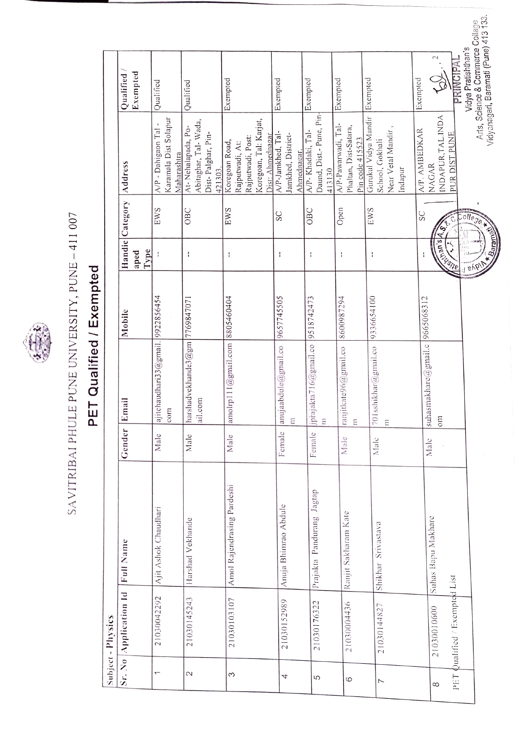

## SAVITRIBAI PHULE PUNE UNIVERSITY, PUNE - 411 007 SAVITRIBAI PHULE PUNE UNIVERSITY, PUNE -411 007

## PET Qualified / Exempted PET Qualified / Exempted

|                   | Subject - Physics             |                            |        |                                    |            |                                                                                                                                                                                                                                      |                 |                                                  |                                                         |  |
|-------------------|-------------------------------|----------------------------|--------|------------------------------------|------------|--------------------------------------------------------------------------------------------------------------------------------------------------------------------------------------------------------------------------------------|-----------------|--------------------------------------------------|---------------------------------------------------------|--|
|                   | Sr. No Application 1d         | Full Name                  | Gender | Email                              | Mobile     |                                                                                                                                                                                                                                      | Handic Category | Address                                          | Qualified                                               |  |
|                   |                               |                            |        |                                    |            | Type<br>aped                                                                                                                                                                                                                         |                 |                                                  | Exempted                                                |  |
|                   | 21030042292                   | Ajit Ashok Chaudhari       | Male   | ajitchaudhari33@gmail. 9922856454  |            |                                                                                                                                                                                                                                      | EWS             | Karamala Dist Solapur<br>A/P - Dahigaon Tal      | Qualified                                               |  |
|                   |                               |                            |        | com                                |            |                                                                                                                                                                                                                                      |                 | Maharashtra                                      |                                                         |  |
| $\mathbf{\Omega}$ | 21030145243                   | Harshad Vekhande           | Male   | harshadvekhande $3@gm$  7769847071 |            | ÷                                                                                                                                                                                                                                    | OBC             | At-Nehalapada, Po-                               | Qualified                                               |  |
|                   |                               |                            |        | ail.com                            |            |                                                                                                                                                                                                                                      |                 | Abitaghar, Tal-Wada,                             |                                                         |  |
|                   |                               |                            |        |                                    |            |                                                                                                                                                                                                                                      |                 | Dist-Palghar, Pin-<br>421303.                    |                                                         |  |
| Σ                 | 21030103107                   | Amol Rajendrasing Pardeshi | Male   | amolrp111@gmail.com 8805460404     |            | ŧ                                                                                                                                                                                                                                    | EWS             | Koregoan Road,                                   | Exempted                                                |  |
|                   |                               |                            |        |                                    |            |                                                                                                                                                                                                                                      |                 | Rajputwadi, At:                                  |                                                         |  |
|                   |                               |                            |        |                                    |            |                                                                                                                                                                                                                                      |                 | Rajputwadi, Post:                                |                                                         |  |
|                   |                               |                            |        |                                    |            |                                                                                                                                                                                                                                      |                 | Koregoan, Tal: Karjat,                           |                                                         |  |
|                   |                               |                            |        |                                    |            |                                                                                                                                                                                                                                      | SC              | A/P-Jamkhed, Tal-<br>Dist: Ahmednagar            | Exempted                                                |  |
| 4                 | 21030152989                   | Anuja Bhimrao Abdule       | Female | anujaabdule@gmail.co               | 9657745505 | ł                                                                                                                                                                                                                                    |                 |                                                  |                                                         |  |
|                   |                               |                            |        | $\Xi$                              |            |                                                                                                                                                                                                                                      |                 | Jamkhed, District-<br>Ahmednagar.                |                                                         |  |
|                   |                               |                            |        |                                    |            |                                                                                                                                                                                                                                      | OBC             | A/P-Khadaki, Tal-                                | Exempted                                                |  |
| 5                 | 21030176322                   | Prajakta Pandurang Jagtap  | Female | jprajakta716@gmail.co              | 9518742473 | H                                                                                                                                                                                                                                    |                 | Daund, Dist.-Pune, Pin-                          |                                                         |  |
|                   |                               |                            |        | $\tilde{\Xi}$                      |            |                                                                                                                                                                                                                                      |                 | 413130                                           |                                                         |  |
|                   |                               |                            | Male   | ranjitkate96@gmail.co              | 8600987294 | ÷                                                                                                                                                                                                                                    | Open            | A/P-Pawarwadi, Tal-                              | Exempted                                                |  |
| 6                 | 21030004436                   | Ranjit Sakharam Kate       |        | Ε                                  |            |                                                                                                                                                                                                                                      |                 | Phaltan, Dist-Satara,                            |                                                         |  |
|                   |                               |                            |        |                                    |            |                                                                                                                                                                                                                                      |                 | Pin code 415523                                  |                                                         |  |
| $\overline{ }$    | 21030144827                   | Shikhar Srivastava         | Male   | 701sshikhar@gmail.co               | 9336654100 | ÷                                                                                                                                                                                                                                    | EWS             | Gurukul Vidya Mandir Exempted<br>School, Gokhali |                                                         |  |
|                   |                               |                            |        | Ξ                                  |            |                                                                                                                                                                                                                                      |                 | Near Vetal Mandir,                               |                                                         |  |
|                   |                               |                            |        |                                    |            |                                                                                                                                                                                                                                      |                 | Indapur                                          |                                                         |  |
|                   |                               |                            |        |                                    |            |                                                                                                                                                                                                                                      |                 |                                                  |                                                         |  |
|                   |                               |                            |        | suhasmakhare@gmail.c               | 9665068312 | ì                                                                                                                                                                                                                                    | SC              | A/P. AMBEDKAR                                    | Exempted                                                |  |
| 8                 | 21030010600                   | Suhas Bapu Makhare         | Malc   | $\sin$                             |            |                                                                                                                                                                                                                                      |                 | INDAPUR, TAL. INDA<br>NAGAR                      | $\mathbin{\sim}$<br>$\overline{Q}$                      |  |
|                   | PET Qualified / Exempted List |                            |        |                                    |            | <b>Contract Contract Contract Contract Contract Contract Contract Contract Contract Contract Contract Contract Contract Contract Contract Contract Contract Contract Contract Contract Contract Contract Contract Contract Contr</b> |                 | PUR DIST.PUNE                                    |                                                         |  |
|                   |                               |                            |        |                                    |            |                                                                                                                                                                                                                                      |                 |                                                  | PRINCIPA                                                |  |
|                   |                               |                            |        |                                    |            |                                                                                                                                                                                                                                      |                 |                                                  | Arts, Science & Commerce Collage<br>Vidya Pratishthan's |  |
|                   |                               |                            |        |                                    |            |                                                                                                                                                                                                                                      | ollega *        |                                                  | Vidyanagari, Baramati (Pune) 413 133.                   |  |
|                   |                               |                            |        |                                    |            |                                                                                                                                                                                                                                      |                 |                                                  |                                                         |  |